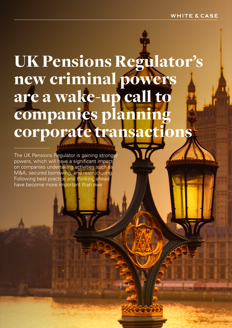# UK Pensions Regulator's new criminal powers are a wake-up call to companies planning corporate transactions

38883

The UK Pensions Regulator is gaining stronger powers, which will have a significant impact on companies undertaking activities such as M&A, secured borrowing, and restructuring. Following best practice and thinking ahead have become more important than ever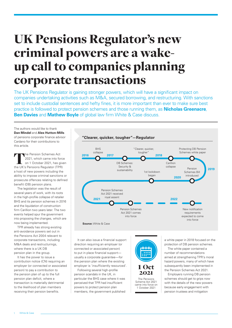# UK Pensions Regulator's new criminal powers are a wakeup call to companies planning corporate transactions

The UK Pensions Regulator is gaining stronger powers, which will have a significant impact on companies undertaking activities such as M&A, secured borrowing, and restructuring. With sanctions set to include custodial sentences and hefty fines, it is more important than ever to make sure best practice is followed to protect pension schemes and those running them, as **Nicholas Greenacre**, **Ben Davies** and **Mathew Boyle** of global law firm White & Case discuss.

The authors would like to thank **Dan Mindel** and **Alex Hutton-Mills** of pensions corporate finance advisor Cardano for their contributions to this article.

The Pension Schemes Act 2021, which came into force on 1 October 2021, has given the UK's Pensions Regulator (TPR) a host of new powers including the ability to impose criminal sanctions or prosecute offences relating to defined benefit (DB) pension plans.

The legislation was the result of several years of work, with its roots in the high-profile collapse of retailer BHS and its pension schemes in 2016 and the liquidation of construction firm Carillion two years later. The two events helped spur the government into proposing the changes, which are now being implemented.

TPR already has strong existing anti-avoidance powers set out in the Pensions Act 2004 relevant to corporate transactions, including M&A deals and restructurings where there is a UK DB pension plan in the group.

It has the power to issue a contribution notice (CN) requiring an employer (or connected or associated person) to pay a contribution to the pension plan of up to the full pension plan deficit, where a transaction is materially detrimental to the likelihood of plan members receiving their pension benefits.



It can also issue a financial support direction requiring an employer (or connected or associated person) to put in place financial support usually a corporate guarantee—for the pension plan where the existing employer is 'insufficiently resourced'.

Following several high-profile pension scandals in the UK, in particular the BHS case where it was perceived that TPR had insufficient powers to protect pension plan members, the government published



a white paper in 2018 focused on the protection of DB pension schemes.

The white paper contained a number of recommendations aimed at strengthening TPR's moral hazard powers, many of which have subsequently been implemented in the Pension Schemes Act 2021.

Employers running DB pension schemes should get to grips now with the details of the new powers because early engagement with pension trustees and mitigation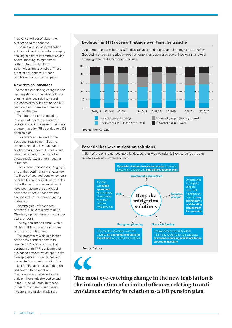in advance will benefit both the business and the scheme.

The use of a bespoke mitigation solution will be helpful—for example, seeking specialist investment advice or documenting an agreement with trustees to plan for the scheme's ultimate wind-up. These types of solutions will reduce regulatory risk for the company.

#### **New criminal sanctions**

The most eye-catching change in the new legislation is the introduction of criminal offences relating to antiavoidance activity in relation to a DB pension plan. There are three new criminal offences.

The first offence is engaging in an act intended to prevent the recovery of, compromise or reduce a statutory section 75 debt due to a DB pension plan.

This offence is subject to the additional requirement that the person must also have known or ought to have known the act would have that effect; or not have had a reasonable excuse for engaging in the act.

The second offence is engaging in an act that detrimentally affects the likelihood of accrued pension scheme benefits being received. As with the first offence, those accused must have been aware the act would have that effect, or not have had a reasonable excuse for engaging in the act.

Anyone guilty of these new offences is liable to a fine of up to £1million, a prison term of up to seven years, or both.

Thirdly, a failure to comply with a CN from TPR will also be a criminal offence for the first time.

The potentially wide application of the new criminal powers to 'any person' is noteworthy. This contrasts with TPR's existing antiavoidance powers which apply only to employers in DB schemes and connected companies or directors.

During the act's passage through parliament, this aspect was controversial and received some criticism from industry bodies and in the House of Lords. In theory, it means that banks, purchasers, investors, professional advisers

#### **Evolution in TPR covenant ratings over time, by tranche**

Large proportion of schemes is Tending to Weak, and at greater risk of regulatory scrutiny. Grouped in three-year periods—each scheme is only assessed every three years, and each grouping represents the same schemes.





#### **Potential bespoke mitigation solutions**



In light of the changing regulatory landscape, a tailored solution is likely to be required to facilitate desired corporate activity.

The most eye-catching change in the new legislation is the introduction of criminal offences relating to antiavoidance activity in relation to a DB pension plan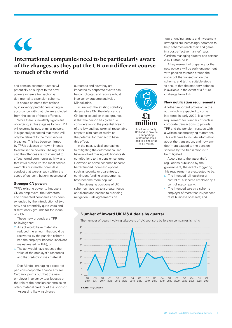$\overline{\mathcal{L}}$ 

# International companies need to be particularly aware of the changes, as they put the UK on a different course to much of the world

and pension scheme trustees will potentially be subject to the new powers where a transaction is detrimental to a pension scheme.

It should be noted that actions by insolvency practitioners acting in accordance with that role are excluded from the scope of these offences.

While there is inevitably significant uncertainty at this stage as to how TPR will exercise its new criminal powers, it is generally expected that these will only be relevant to the most serious breaches. This has been confirmed by TPR's guidance on how it intends to exercise the powers. The regulator said the offences are not intended to affect normal commercial activity, and that it will prosecute 'the most serious examples of intended or reckless conduct that were already within the scope of our contribution notice power'.

#### **Stronger CN powers**

TPR's existing power to impose a CN on employers, their directors and connected companies has been extended by the introduction of two new and potentially quite wide and discretionary grounds for the issue of a CN.

These new grounds are TPR believing that:

- $\Box$  An act would have materially reduced the amount that could be recovered by the pension scheme had the employer become insolvent (as estimated by TPR); or
- $\Box$  The act would have reduced the value of the employer's resources and that reduction was material.

Dan Mindel, managing director of pensions corporate finance advisor Cardano, points out that the new employer insolvency test focuses on the role of the pension scheme as an often-material creditor of the sponsor. 'Assessing likely insolvency

outcomes and how they are impacted by corporate events can be complicated and require robust insolvency outcome analysis', Mindel adds.

In line with the existing statutory defence to a CN, the defence to a CN being issued on these grounds is that the person has given due consideration to the potential breach of the law and has taken all reasonable steps to eliminate or minimise the potential for their act to have this effect.

In the past, typical approaches to mitigating the detriment caused have involved making additional cash contributions to the pension scheme. However, as some schemes become better funded, non-cash options such as security or guarantees, or contingent funding arrangements, have become more popular.

'The diverging positions of UK schemes have led to a greater focus on tailored approaches to providing mitigation. Side agreements on



A failure to notify TPR and to provide a supporting statement could lead to a fine of up to £1 million

future funding targets and investment strategies are increasingly common to help schemes reach their end game in a cost-effective manner', says Cardano managing director and partner Alex Hutton-Mills.

A key element of preparing for the new powers will be early engagement with pension trustees around the impact of the transaction on the scheme, and taking suitable steps to ensure that the statutory defence is available in the event of a future challenge from TPR.

#### **New notification requirements**

Another important provision in the act, which is expected to come into force in early 2022, is a new requirement for planners of certain corporate transactions to provide TPR and the pension trustees with a written accompanying statement. This will have to include information about the transaction, and how any detriment caused to the pension scheme by the transaction is to be mitigated.

According to the latest draft regulations published by the government, the events triggering this requirement are expected to be:

- $\Box$  The intended relinquishing of control of a scheme employer by a controlling company;
- $\Box$  The intended sale by a scheme employer of more than 25 per cent of its business or assets; and



#### **Number of inward UK M&A deals by quarter**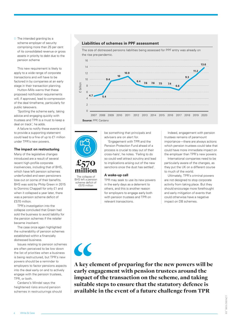$\Box$  The intended granting by a scheme employer of security comprising more than 25 per cent of its consolidated revenue or gross assets in priority to debt due to the pension scheme

This new requirement is likely to apply to a wide range of corporate transactions and will have to be factored in by companies at an early stage in their transaction planning.

Hutton-Mills warns that these proposed notification requirements will, if approved, lead to compression of the deal timeframe, particularly for public takeovers.

'Spotting the scheme early, taking advice and engaging quickly with trustees and TPR is a must to keep a deal on track', he adds.

A failure to notify these events and to provide a supporting statement could lead to a fine of up to £1 million under TPR's new powers.

#### **The impact on restructuring**

Many of the legislative changes introduced are a result of several recent high-profile corporate insolvencies, including that of BHS, which have left pension schemes underfunded and seen pensioners lose out on some of their benefits. BHS was sold by Philip Green in 2015 to Dominic Chappell for only £1 and when it collapsed a year later, there was a pension scheme deficit of £570 million.

TPR's investigation into the collapse concluded that Green had sold the business to avoid liability for the pension schemes if the retailer became insolvent.

The case once again highlighted the vulnerability of pension schemes established within a financially distressed business.

Issues relating to pension schemes are often perceived to be low down the list of priorities when a business is being restructured, but TPR's new powers should be a reminder to employers to factor pensions aspects into the deal early on and to actively engage with the pension trustees, TPR, or both.

Cardano's Mindel says the heightened risks around pension schemes in restructurings should

#### **Liabilities of schemes in PPF assessment**



The size of distressed pensions liabilities being assessed for PPF entry was already on

**Source:** PPF, Cardano

£570 million The collapse of BHS left a pension scheme deficit of

£570 million

 $\overline{\mathcal{L}}$ 

be something that principals and advisers are on alert for.

'Engagement with TPR and the Pension Protection Fund ahead of a process is crucial to stay out of their cross-hairs', he notes. 'Failing to do so could well attract scrutiny and lead to implications arising out of the new sanctions once the dust has settled'.

#### **A wake-up call**

TPR may seek to use its new powers in the early days as a deterrent to others, and this is another reason for employers to engage early both with pension trustees and TPR on relevant transactions.

Indeed, engagement with pension trustees remains of paramount importance—there are always actions which pension trustees could take that could have more immediate impact on the employer than TPR's new powers.

International companies need to be particularly aware of the changes, as they put the UK on a different course to much of the world.

Ultimately, TPR's criminal powers are not designed to stop corporate activity from taking place. But they should encourage more forethought and early mitigation of events that could otherwise have a negative impact on DB schemes.

A key element of preparing for the new powers will be early engagement with pension trustees around the impact of the transaction on the scheme, and taking suitable steps to ensure that the statutory defence is available in the event of a future challenge from TPR